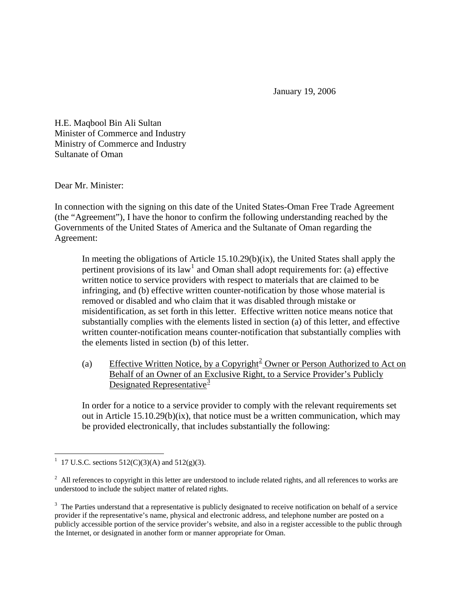January 19, 2006

H.E. Maqbool Bin Ali Sultan Minister of Commerce and Industry Ministry of Commerce and Industry Sultanate of Oman

Dear Mr. Minister:

In connection with the signing on this date of the United States-Oman Free Trade Agreement (the "Agreement"), I have the honor to confirm the following understanding reached by the Governments of the United States of America and the Sultanate of Oman regarding the Agreement:

In meeting the obligations of Article 15.10.29(b)(ix), the United States shall apply the pertinent provisions of its law<sup>[1](#page-0-0)</sup> and Oman shall adopt requirements for: (a) effective written notice to service providers with respect to materials that are claimed to be infringing, and (b) effective written counter-notification by those whose material is removed or disabled and who claim that it was disabled through mistake or misidentification, as set forth in this letter. Effective written notice means notice that substantially complies with the elements listed in section (a) of this letter, and effective written counter-notification means counter-notification that substantially complies with the elements listed in section (b) of this letter.

(a) Effective Written Notice, by a Copyright<sup>[2](#page-0-1)</sup> Owner or Person Authorized to Act on Behalf of an Owner of an Exclusive Right, to a Service Provider's Publicly Designated Representative $\frac{3}{2}$  $\frac{3}{2}$  $\frac{3}{2}$ 

In order for a notice to a service provider to comply with the relevant requirements set out in Article  $15.10.29(b)(ix)$ , that notice must be a written communication, which may be provided electronically, that includes substantially the following:

 $\overline{a}$ 

<span id="page-0-0"></span><sup>&</sup>lt;sup>1</sup> 17 U.S.C. sections 512(C)(3)(A) and 512(g)(3).

<span id="page-0-1"></span> $2$  All references to copyright in this letter are understood to include related rights, and all references to works are understood to include the subject matter of related rights.

<span id="page-0-2"></span> $3$  The Parties understand that a representative is publicly designated to receive notification on behalf of a service provider if the representative's name, physical and electronic address, and telephone number are posted on a publicly accessible portion of the service provider's website, and also in a register accessible to the public through the Internet, or designated in another form or manner appropriate for Oman.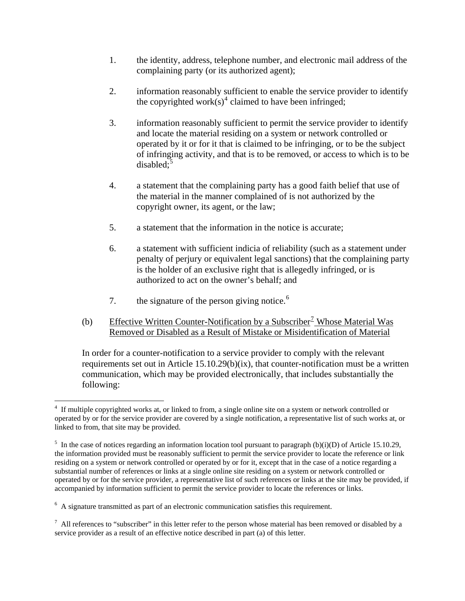- 1. the identity, address, telephone number, and electronic mail address of the complaining party (or its authorized agent);
- 2. information reasonably sufficient to enable the service provider to identify the copyrighted work $(s)$ <sup>[4](#page-1-0)</sup> claimed to have been infringed;
- 3. information reasonably sufficient to permit the service provider to identify and locate the material residing on a system or network controlled or operated by it or for it that is claimed to be infringing, or to be the subject of infringing activity, and that is to be removed, or access to which is to be  $disabeled$ ;
- 4. a statement that the complaining party has a good faith belief that use of the material in the manner complained of is not authorized by the copyright owner, its agent, or the law;
- 5. a statement that the information in the notice is accurate;
- 6. a statement with sufficient indicia of reliability (such as a statement under penalty of perjury or equivalent legal sanctions) that the complaining party is the holder of an exclusive right that is allegedly infringed, or is authorized to act on the owner's behalf; and
- 7. the signature of the person giving notice.<sup> $6$ </sup>
- (b) Effective Written Counter-Notification by a Subscriber<sup>[7](#page-1-3)</sup> Whose Material Was Removed or Disabled as a Result of Mistake or Misidentification of Material

In order for a counter-notification to a service provider to comply with the relevant requirements set out in Article 15.10.29(b)(ix), that counter-notification must be a written communication, which may be provided electronically, that includes substantially the following:

 $\overline{a}$ 

<span id="page-1-0"></span><sup>&</sup>lt;sup>4</sup> If multiple copyrighted works at, or linked to from, a single online site on a system or network controlled or operated by or for the service provider are covered by a single notification, a representative list of such works at, or linked to from, that site may be provided.

<span id="page-1-1"></span><sup>&</sup>lt;sup>5</sup> In the case of notices regarding an information location tool pursuant to paragraph (b)(i)(D) of Article 15.10.29, the information provided must be reasonably sufficient to permit the service provider to locate the reference or link residing on a system or network controlled or operated by or for it, except that in the case of a notice regarding a substantial number of references or links at a single online site residing on a system or network controlled or operated by or for the service provider, a representative list of such references or links at the site may be provided, if accompanied by information sufficient to permit the service provider to locate the references or links.

<span id="page-1-2"></span><sup>&</sup>lt;sup>6</sup> A signature transmitted as part of an electronic communication satisfies this requirement.

<span id="page-1-3"></span> $^7$  All references to "subscriber" in this letter refer to the person whose material has been removed or disabled by a service provider as a result of an effective notice described in part (a) of this letter.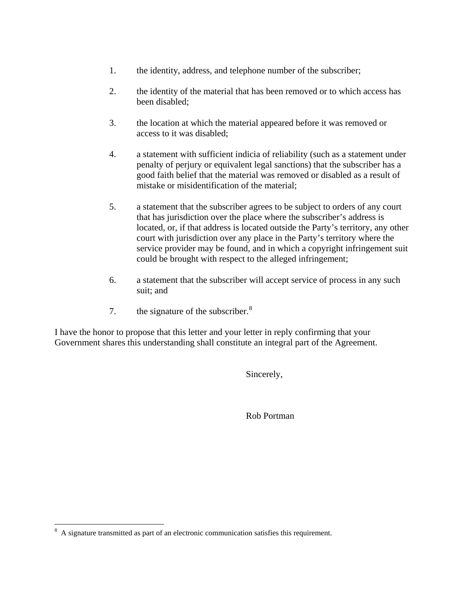- 1. the identity, address, and telephone number of the subscriber;
- 2. the identity of the material that has been removed or to which access has been disabled;
- 3. the location at which the material appeared before it was removed or access to it was disabled;
- 4. a statement with sufficient indicia of reliability (such as a statement under penalty of perjury or equivalent legal sanctions) that the subscriber has a good faith belief that the material was removed or disabled as a result of mistake or misidentification of the material;
- 5. a statement that the subscriber agrees to be subject to orders of any court that has jurisdiction over the place where the subscriber's address is located, or, if that address is located outside the Party's territory, any other court with jurisdiction over any place in the Party's territory where the service provider may be found, and in which a copyright infringement suit could be brought with respect to the alleged infringement;
- 6. a statement that the subscriber will accept service of process in any such suit; and
- 7. the signature of the subscriber. $8$

I have the honor to propose that this letter and your letter in reply confirming that your Government shares this understanding shall constitute an integral part of the Agreement.

Sincerely,

Rob Portman

<span id="page-2-0"></span><sup>&</sup>lt;sup>8</sup> A signature transmitted as part of an electronic communication satisfies this requirement.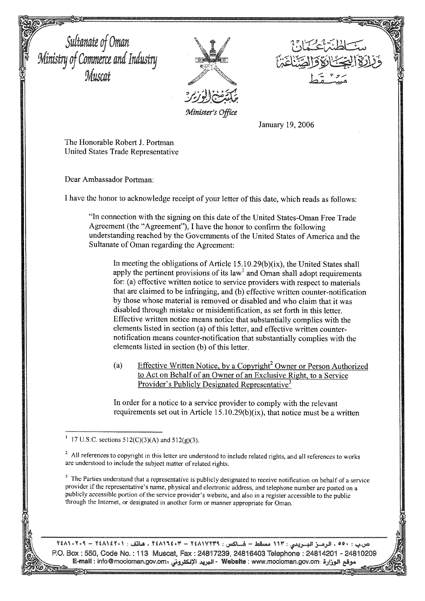Sultanate of Oman<br>Ministry of Commerce and Industry<br>Muscat



Minister's Office

January 19, 2006

The Honorable Robert J. Portman United States Trade Representative

Dear Ambassador Portman:

I have the honor to acknowledge receipt of your letter of this date, which reads as follows:

"In connection with the signing on this date of the United States-Oman Free Trade Agreement (the "Agreement"), I have the honor to confirm the following understanding reached by the Governments of the United States of America and the Sultanate of Oman regarding the Agreement:

In meeting the obligations of Article 15.10.29(b)(ix), the United States shall apply the pertinent provisions of its law<sup>1</sup> and Oman shall adopt requirements for: (a) effective written notice to service providers with respect to materials that are claimed to be infringing, and (b) effective written counter-notification by those whose material is removed or disabled and who claim that it was disabled through mistake or misidentification, as set forth in this letter. Effective written notice means notice that substantially complies with the elements listed in section (a) of this letter, and effective written counternotification means counter-notification that substantially complies with the elements listed in section (b) of this letter.

**Effective Written Notice, by a Copyright<sup>2</sup> Owner or Person Authorized**  $(a)$ to Act on Behalf of an Owner of an Exclusive Right, to a Service Provider's Publicly Designated Representative<sup>3</sup>

In order for a notice to a service provider to comply with the relevant requirements set out in Article 15.10.29(b)(ix), that notice must be a written

 $3\,$  The Parties understand that a representative is publicly designated to receive notification on behalf of a service provider if the representative's name, physical and electronic address, and telephone number are posted on a publicly accessible portion of the service provider's website, and also in a register accessible to the public through the Internet, or designated in another form or manner appropriate for Oman.

ص.ب : •٥٥ ، الرمــز البــريدي : ١١٣ مسقط – فـــاكس : ٢٤٨١٧٢٣٩ - ٢٤٨١٩٢٤ ، هاتف : ٢٤٨١٤٢٠١ – ٢٤٨١٠٢٠٩ P.O. Box : 550, Code No. : 113 Muscat, Fax : 24817239, 24816403 Telephone : 24814201 - 24810209 يقع الوزارة : Website : www.mocioman.gov.om - البريد الإلكتروني : E-mall : info@mocioman.gov.om

<sup>17</sup> U.S.C. sections  $512(C)(3)(A)$  and  $512(g)(3)$ .

<sup>&</sup>lt;sup>2</sup> All references to copyright in this letter are understood to include related rights, and all references to works are understood to include the subject matter of related rights.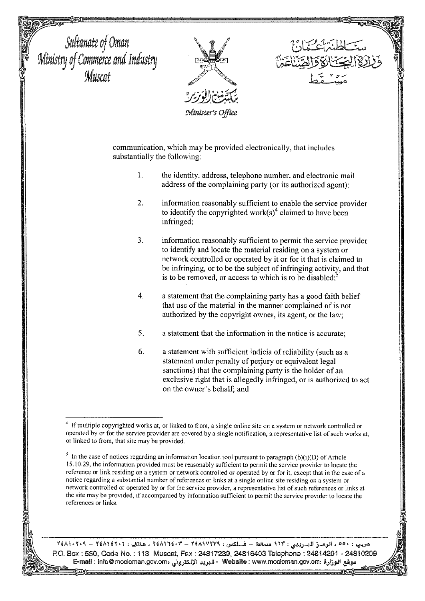Sultanate of Oman<br>Ministry of Commerce and Industry<br>Muscat



communication, which may be provided electronically, that includes substantially the following:

- $\mathbf{1}$ . the identity, address, telephone number, and electronic mail address of the complaining party (or its authorized agent);
- $\overline{2}$ . information reasonably sufficient to enable the service provider to identify the copyrighted work $(s)$ <sup>4</sup> claimed to have been infringed;
- 3. information reasonably sufficient to permit the service provider to identify and locate the material residing on a system or network controlled or operated by it or for it that is claimed to be infringing, or to be the subject of infringing activity, and that is to be removed, or access to which is to be disabled;
- $\overline{4}$ . a statement that the complaining party has a good faith belief that use of the material in the manner complained of is not authorized by the copyright owner, its agent, or the law;
- 5. a statement that the information in the notice is accurate;
- 6. a statement with sufficient indicia of reliability (such as a statement under penalty of perjury or equivalent legal sanctions) that the complaining party is the holder of an exclusive right that is allegedly infringed, or is authorized to act on the owner's behalf; and

ص.ب : ٥٥٠ ، الرمسز البسريدي : ١١٣ مسقط – فساكس : ٢٤٨١٧٢٣٩ - ٢٤٨١١٢٤٢ ، هاتف : ٢٤٨١٤٢٠١ – ٢٤٨١٠٢٠٩ P.O. Box: 550, Code No.: 113 Muscat, Fax: 24817239, 24816403 Telephone: 24814201 - 24810209 قع الوزارة : <mark>Website</mark> : www.mocioman.gov.om - البريد الإلكترونى ، E-mail : info@mocioman.gov.om

If multiple copyrighted works at, or linked to from, a single online site on a system or network controlled or operated by or for the service provider are covered by a single notification, a representative list of such works at, or linked to from, that site may be provided.

 $\frac{5}{1}$  In the case of notices regarding an information location tool pursuant to paragraph (b)(i)(D) of Article 15.10.29, the information provided must be reasonably sufficient to permit the service provider to locate the reference or link residing on a system or network controlled or operated by or for it, except that in the case of a notice regarding a substantial number of references or links at a single online site residing on a system or network controlled or operated by or for the service provider, a representative list of such references or links at the site may be provided, if accompanied by information sufficient to permit the service provider to locate the references or links.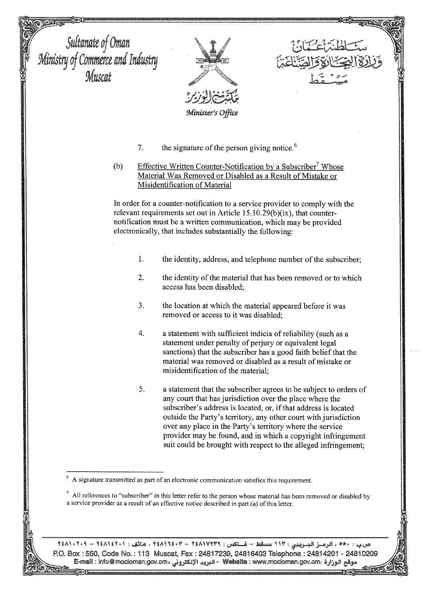Sultanate of Oman<br>Ministry of Commerce and Industry<br>Muscat Minister's Office  $7.$ the signature of the person giving notice.<sup>6</sup>  $(b)$ Effective Written Counter-Notification by a Subscriber<sup>7</sup> Whose Material Was Removed or Disabled as a Result of Mistake or Misidentification of Material In order for a counter-notification to a service provider to comply with the relevant requirements set out in Article 15.10.29(b)(ix), that counternotification must be a written communication, which may be provided electronically, that includes substantially the following:  $\mathbf{1}$ . the identity, address, and telephone number of the subscriber;  $\overline{2}$ . the identity of the material that has been removed or to which access has been disabled: 3. the location at which the material appeared before it was removed or access to it was disabled:  $\overline{4}$ . a statement with sufficient indicia of reliability (such as a statement under penalty of perjury or equivalent legal sanctions) that the subscriber has a good faith belief that the material was removed or disabled as a result of mistake or misidentification of the material: 5. a statement that the subscriber agrees to be subject to orders of any court that has jurisdiction over the place where the subscriber's address is located, or, if that address is located outside the Party's territory, any other court with jurisdiction over any place in the Party's territory where the service provider may be found, and in which a copyright infringement suit could be brought with respect to the alleged infringement; A signature transmitted as part of an electronic communication satisfies this requirement.

> $\frac{7}{1}$  All references to "subscriber" in this letter refer to the person whose material has been removed or disabled by a service provider as a result of an effective notice described in part (a) of this letter.

ص.ب : ٥٥٠ ، الرمسز البسريدي : ١١٣ مسقط – فساكس : ٢٤٨١٧٢٣٩ - ٢٤٨١٩٤٢٠٢ ، هاتف : ٢٤٨١٤٢٠١ – ٢٤٨١٠٢٠٩ P.O. Box : 550, Code No. : 113 Muscat, Fax : 24817239, 24816403 Telephone : 24814201 - 24810209 وقع الوزارة :Website : www.mocioman.gov.om - البريد الإلكترونى :E-mail : info@mocioman.gov.om